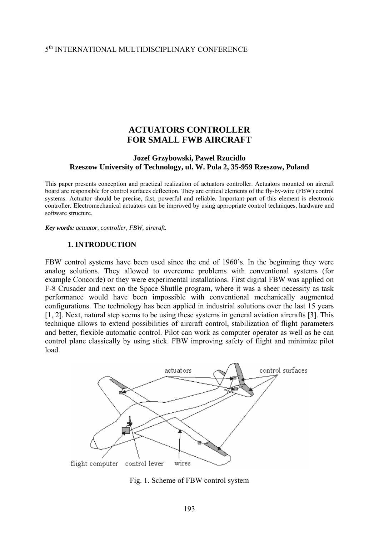# 5th INTERNATIONAL MULTIDISCIPLINARY CONFERENCE

## **ACTUATORS CONTROLLER FOR SMALL FWB AIRCRAFT**

#### **Jozef Grzybowski, Pawel Rzucidlo Rzeszow University of Technology, ul. W. Pola 2, 35-959 Rzeszow, Poland**

This paper presents conception and practical realization of actuators controller. Actuators mounted on aircraft board are responsible for control surfaces deflection. They are critical elements of the fly-by-wire (FBW) control systems. Actuator should be precise, fast, powerful and reliable. Important part of this element is electronic controller. Electromechanical actuators can be improved by using appropriate control techniques, hardware and software structure.

*Key words: actuator, controller, FBW, aircraft.* 

#### **1. INTRODUCTION**

FBW control systems have been used since the end of 1960's. In the beginning they were analog solutions. They allowed to overcome problems with conventional systems (for example Concorde) or they were experimental installations. First digital FBW was applied on F-8 Crusader and next on the Space Shutlle program, where it was a sheer necessity as task performance would have been impossible with conventional mechanically augmented configurations. The technology has been applied in industrial solutions over the last 15 years [1, 2]. Next, natural step seems to be using these systems in general aviation aircrafts [3]. This technique allows to extend possibilities of aircraft control, stabilization of flight parameters and better, flexible automatic control. Pilot can work as computer operator as well as he can control plane classically by using stick. FBW improving safety of flight and minimize pilot load.



Fig. 1. Scheme of FBW control system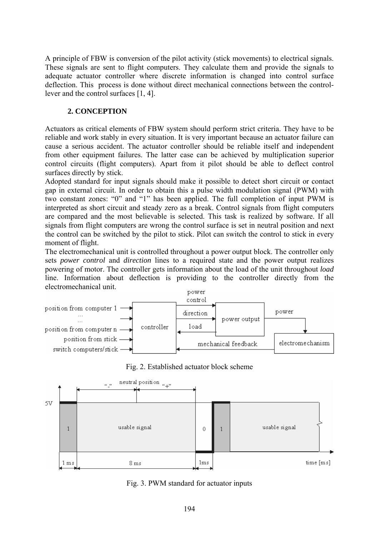A principle of FBW is conversion of the pilot activity (stick movements) to electrical signals. These signals are sent to flight computers. They calculate them and provide the signals to adequate actuator controller where discrete information is changed into control surface deflection. This process is done without direct mechanical connections between the controllever and the control surfaces [1, 4].

## **2. CONCEPTION**

Actuators as critical elements of FBW system should perform strict criteria. They have to be reliable and work stably in every situation. It is very important because an actuator failure can cause a serious accident. The actuator controller should be reliable itself and independent from other equipment failures. The latter case can be achieved by multiplication superior control circuits (flight computers). Apart from it pilot should be able to deflect control surfaces directly by stick.

Adopted standard for input signals should make it possible to detect short circuit or contact gap in external circuit. In order to obtain this a pulse width modulation signal (PWM) with two constant zones: "0" and "1" has been applied. The full completion of input PWM is interpreted as short circuit and steady zero as a break. Control signals from flight computers are compared and the most believable is selected. This task is realized by software. If all signals from flight computers are wrong the control surface is set in neutral position and next the control can be switched by the pilot to stick. Pilot can switch the control to stick in every moment of flight.

The electromechanical unit is controlled throughout a power output block. The controller only sets *power control* and *direction* lines to a required state and the power output realizes powering of motor. The controller gets information about the load of the unit throughout *load* line. Information about deflection is providing to the controller directly from the electromechanical unit.







Fig. 3. PWM standard for actuator inputs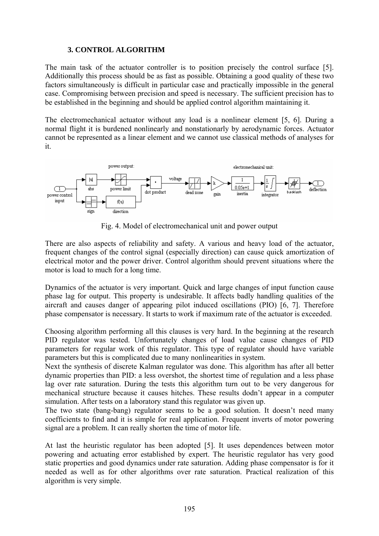### **3. CONTROL ALGORITHM**

The main task of the actuator controller is to position precisely the control surface [5]. Additionally this process should be as fast as possible. Obtaining a good quality of these two factors simultaneously is difficult in particular case and practically impossible in the general case. Compromising between precision and speed is necessary. The sufficient precision has to be established in the beginning and should be applied control algorithm maintaining it.

The electromechanical actuator without any load is a nonlinear element [5, 6]. During a normal flight it is burdened nonlinearly and nonstationarly by aerodynamic forces. Actuator cannot be represented as a linear element and we cannot use classical methods of analyses for it.



Fig. 4. Model of electromechanical unit and power output

There are also aspects of reliability and safety. A various and heavy load of the actuator, frequent changes of the control signal (especially direction) can cause quick amortization of electrical motor and the power driver. Control algorithm should prevent situations where the motor is load to much for a long time.

Dynamics of the actuator is very important. Quick and large changes of input function cause phase lag for output. This property is undesirable. It affects badly handling qualities of the aircraft and causes danger of appearing pilot induced oscillations (PIO) [6, 7]. Therefore phase compensator is necessary. It starts to work if maximum rate of the actuator is exceeded.

Choosing algorithm performing all this clauses is very hard. In the beginning at the research PID regulator was tested. Unfortunately changes of load value cause changes of PID parameters for regular work of this regulator. This type of regulator should have variable parameters but this is complicated due to many nonlinearities in system.

Next the synthesis of discrete Kalman regulator was done. This algorithm has after all better dynamic properties than PID: a less overshot, the shortest time of regulation and a less phase lag over rate saturation. During the tests this algorithm turn out to be very dangerous for mechanical structure because it causes hitches. These results dodn't appear in a computer simulation. After tests on a laboratory stand this regulator was given up.

The two state (bang-bang) regulator seems to be a good solution. It doesn't need many coefficients to find and it is simple for real application. Frequent inverts of motor powering signal are a problem. It can really shorten the time of motor life.

At last the heuristic regulator has been adopted [5]. It uses dependences between motor powering and actuating error established by expert. The heuristic regulator has very good static properties and good dynamics under rate saturation. Adding phase compensator is for it needed as well as for other algorithms over rate saturation. Practical realization of this algorithm is very simple.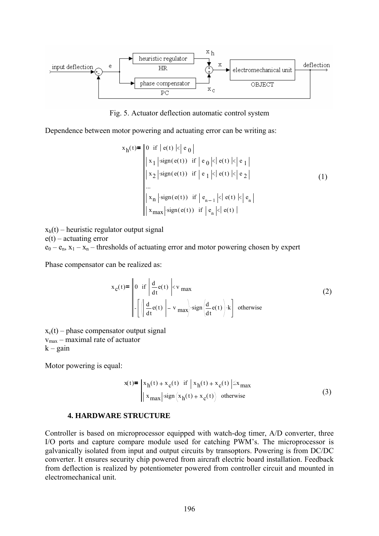

Fig. 5. Actuator deflection automatic control system

Dependence between motor powering and actuating error can be writing as:

$$
x_h(t) = \begin{vmatrix} 0 & \text{if } |e(t) | < |e_0| \\ x_1 & \text{sign}(e(t)) & \text{if } |e_0 | < |e(t) | < |e_1| \\ x_2 & \text{sign}(e(t)) & \text{if } |e_1 | < |e(t) | < |e_2| \end{vmatrix}
$$
\n...\n
$$
\begin{vmatrix} x_n & \text{sign}(e(t)) & \text{if } |e_{n-1} | < |e(t) | < |e_n| \\ x_{\text{max}} & \text{sign}(e(t)) & \text{if } |e_n | < |e(t) | \end{vmatrix}
$$
\n(1)

 $x<sub>h</sub>(t)$  – heuristic regulator output signal  $e(t)$  – actuating error  $e_0 - e_n$ ,  $x_1 - x_n$  – thresholds of actuating error and motor powering chosen by expert

Phase compensator can be realized as:

$$
x_c(t) = \begin{vmatrix} 0 & \text{if } \left| \frac{d}{dt} e(t) \right| < v_{\text{max}} \\ \left| \frac{d}{dt} e(t) \right| - v_{\text{max}} \end{vmatrix} \cdot \text{sign} \left( \frac{d}{dt} e(t) \right) \cdot k \end{vmatrix}
$$
 otherwise (2)

 $x_c(t)$  – phase compensator output signal vmax – maximal rate of actuator  $k -$  gain

Motor powering is equal:

$$
x(t) = \begin{vmatrix} x_h(t) + x_c(t) & \text{if } |x_h(t) + x_c(t)| \le x_{\text{max}} \\ x_{\text{max}} \end{vmatrix} \cdot \text{sign}(x_h(t) + x_c(t)) \quad \text{otherwise} \tag{3}
$$

#### **4. HARDWARE STRUCTURE**

Controller is based on microprocessor equipped with watch-dog timer, A/D converter, three I/O ports and capture compare module used for catching PWM's. The microprocessor is galvanically isolated from input and output circuits by transoptors. Powering is from DC/DC converter. It ensures security chip powered from aircraft electric board installation. Feedback from deflection is realized by potentiometer powered from controller circuit and mounted in electromechanical unit.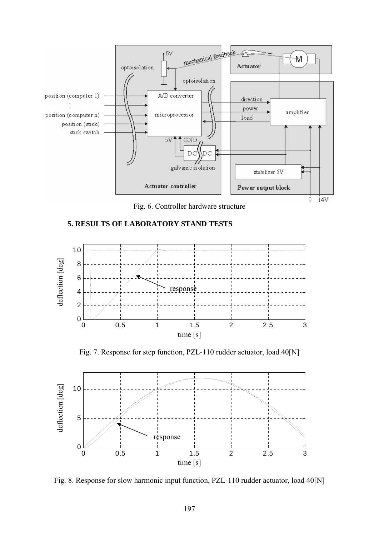

Fig. 6. Controller hardware structure

## **5. RESULTS OF LABORATORY STAND TESTS**



Fig. 7. Response for step function, PZL-110 rudder actuator, load 40[N]



Fig. 8. Response for slow harmonic input function, PZL-110 rudder actuator, load 40[N]